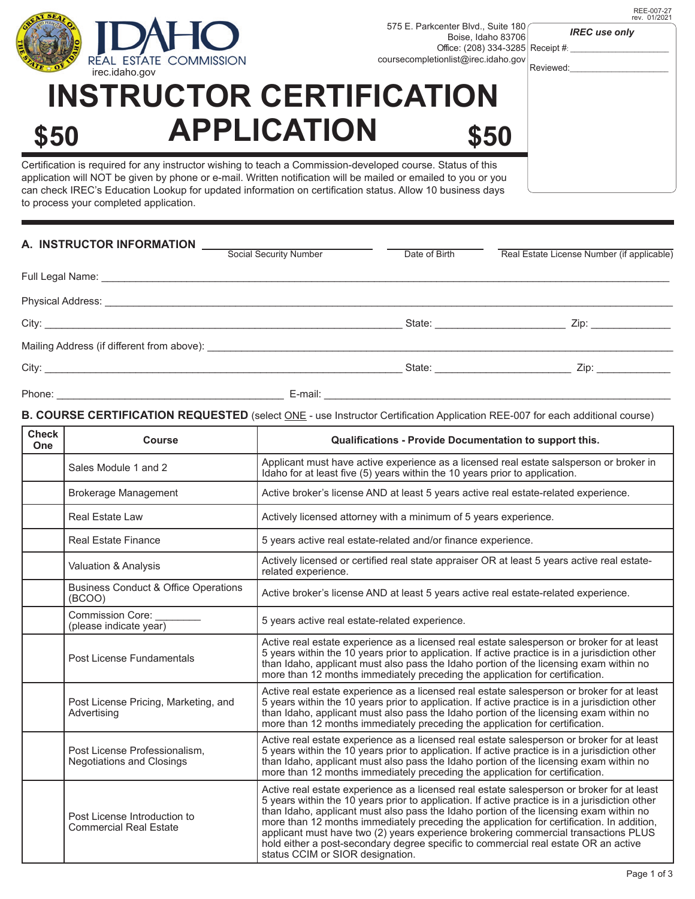

REE-007-27 rev. 01/2021

*IREC use only*

# **INSTRUCTOR CERTIFICATION \$50 APPLICATION \$50**

Certification is required for any instructor wishing to teach a Commission-developed course. Status of this application will NOT be given by phone or e-mail. Written notification will be mailed or emailed to you or you can check IREC's Education Lookup for updated information on certification status. Allow 10 business days to process your completed application.

| A. INSTRUCTOR INFORMATION                                                                                                                                                                                                      | Social Security Number | Date of Birth                                                                                                         | Real Estate License Number (if applicable)                 |
|--------------------------------------------------------------------------------------------------------------------------------------------------------------------------------------------------------------------------------|------------------------|-----------------------------------------------------------------------------------------------------------------------|------------------------------------------------------------|
| Full Legal Name: Name: Name and September 2014 19:00 19:00 19:00 19:00 19:00 19:00 19:00 19:00 19:00 19:00 19:00 19:00 19:00 19:00 19:00 19:00 19:00 19:00 19:00 19:00 19:00 19:00 19:00 19:00 19:00 19:00 19:00 19:00 19:00 1 |                        |                                                                                                                       |                                                            |
|                                                                                                                                                                                                                                |                        |                                                                                                                       |                                                            |
|                                                                                                                                                                                                                                |                        |                                                                                                                       | Zip: _______________<br>State: <u>____________________</u> |
| Mailing Address (if different from above): National Section of the Section of the Mailing Address (if different from above):                                                                                                   |                        |                                                                                                                       |                                                            |
|                                                                                                                                                                                                                                |                        |                                                                                                                       | State: Zip: Zip:                                           |
| Phone:<br><u> 1989 - Johann Barbara, martin amerikan basar dan berasal dari berasal dalam basar dalam basar dalam basar dala</u>                                                                                               | E-mail:                | <u> 2000 - Jan James James James James James James James James James James James James James James James James Ja</u> |                                                            |

## **B. COURSE CERTIFICATION REQUESTED** (select ONE - use Instructor Certification Application REE-007 for each additional course)

| <b>Check</b><br>One | <b>Course</b>                                                     | Qualifications - Provide Documentation to support this.                                                                                                                                                                                                                                                                                                                                                                                                                                                                                                                                                |
|---------------------|-------------------------------------------------------------------|--------------------------------------------------------------------------------------------------------------------------------------------------------------------------------------------------------------------------------------------------------------------------------------------------------------------------------------------------------------------------------------------------------------------------------------------------------------------------------------------------------------------------------------------------------------------------------------------------------|
|                     | Sales Module 1 and 2                                              | Applicant must have active experience as a licensed real estate salsperson or broker in<br>Idaho for at least five (5) years within the 10 years prior to application.                                                                                                                                                                                                                                                                                                                                                                                                                                 |
|                     | <b>Brokerage Management</b>                                       | Active broker's license AND at least 5 years active real estate-related experience.                                                                                                                                                                                                                                                                                                                                                                                                                                                                                                                    |
|                     | <b>Real Estate Law</b>                                            | Actively licensed attorney with a minimum of 5 years experience.                                                                                                                                                                                                                                                                                                                                                                                                                                                                                                                                       |
|                     | <b>Real Estate Finance</b>                                        | 5 years active real estate-related and/or finance experience.                                                                                                                                                                                                                                                                                                                                                                                                                                                                                                                                          |
|                     | Valuation & Analysis                                              | Actively licensed or certified real state appraiser OR at least 5 years active real estate-<br>related experience.                                                                                                                                                                                                                                                                                                                                                                                                                                                                                     |
|                     | <b>Business Conduct &amp; Office Operations</b><br>(BCOO)         | Active broker's license AND at least 5 years active real estate-related experience.                                                                                                                                                                                                                                                                                                                                                                                                                                                                                                                    |
|                     | <b>Commission Core:</b><br>(please indicate year)                 | 5 years active real estate-related experience.                                                                                                                                                                                                                                                                                                                                                                                                                                                                                                                                                         |
|                     | Post License Fundamentals                                         | Active real estate experience as a licensed real estate salesperson or broker for at least<br>5 years within the 10 years prior to application. If active practice is in a jurisdiction other<br>than Idaho, applicant must also pass the Idaho portion of the licensing exam within no<br>more than 12 months immediately preceding the application for certification.                                                                                                                                                                                                                                |
|                     | Post License Pricing, Marketing, and<br>Advertising               | Active real estate experience as a licensed real estate salesperson or broker for at least<br>5 years within the 10 years prior to application. If active practice is in a jurisdiction other<br>than Idaho, applicant must also pass the Idaho portion of the licensing exam within no<br>more than 12 months immediately preceding the application for certification.                                                                                                                                                                                                                                |
|                     | Post License Professionalism,<br><b>Negotiations and Closings</b> | Active real estate experience as a licensed real estate salesperson or broker for at least<br>5 years within the 10 years prior to application. If active practice is in a jurisdiction other<br>than Idaho, applicant must also pass the Idaho portion of the licensing exam within no<br>more than 12 months immediately preceding the application for certification.                                                                                                                                                                                                                                |
|                     | Post License Introduction to<br><b>Commercial Real Estate</b>     | Active real estate experience as a licensed real estate salesperson or broker for at least<br>5 years within the 10 years prior to application. If active practice is in a jurisdiction other<br>than Idaho, applicant must also pass the Idaho portion of the licensing exam within no<br>more than 12 months immediately preceding the application for certification. In addition,<br>applicant must have two (2) years experience brokering commercial transactions PLUS<br>hold either a post-secondary degree specific to commercial real estate OR an active<br>status CCIM or SIOR designation. |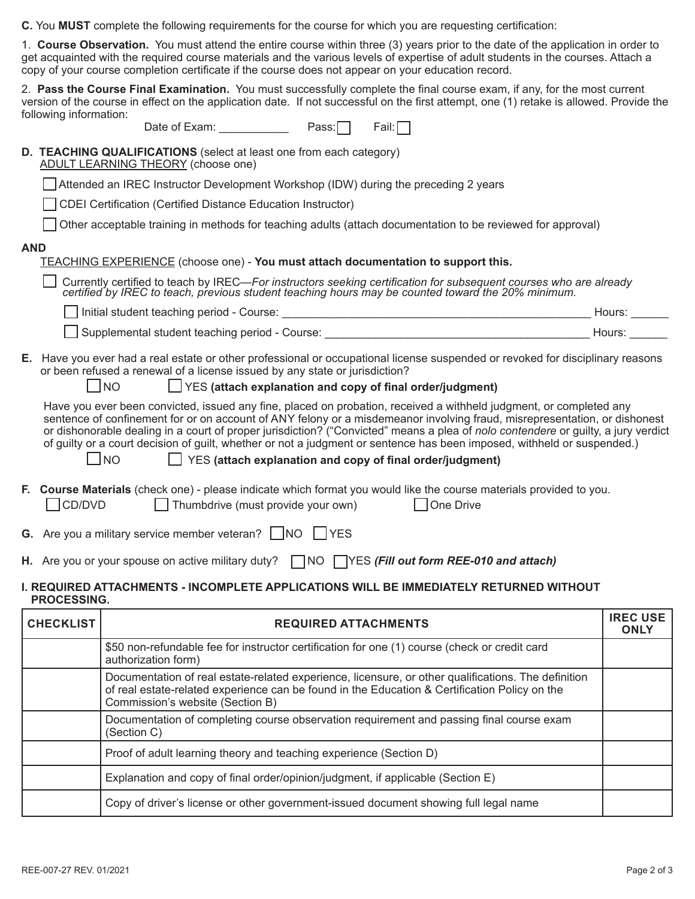**C.** You **MUST** complete the following requirements for the course for which you are requesting certification:

1. **Course Observation.** You must attend the entire course within three (3) years prior to the date of the application in order to get acquainted with the required course materials and the various levels of expertise of adult students in the courses. Attach a copy of your course completion certificate if the course does not appear on your education record.

2. **Pass the Course Final Examination.** You must successfully complete the final course exam, if any, for the most current version of the course in effect on the application date. If not successful on the first attempt, one (1) retake is allowed. Provide the following information:

### **D. TEACHING QUALIFICATIONS** (select at least one from each category)

ADULT LEARNING THEORY (choose one)

|  |  | Attended an IREC Instructor Development Workshop (IDW) during the preceding 2 years |  |  |  |  |
|--|--|-------------------------------------------------------------------------------------|--|--|--|--|
|--|--|-------------------------------------------------------------------------------------|--|--|--|--|

CDEI Certification (Certified Distance Education Instructor)

|  | Other acceptable training in methods for teaching adults (attach documentation to be reviewed for approval) |  |  |  |  |
|--|-------------------------------------------------------------------------------------------------------------|--|--|--|--|
|  |                                                                                                             |  |  |  |  |

#### **AND**

| <b>TEACHING EXPERIENCE</b> (choose one) - You must attach documentation to support this. |  |  |
|------------------------------------------------------------------------------------------|--|--|
|------------------------------------------------------------------------------------------|--|--|

Currently certified to teach by IREC—For instructors seeking certification for subsequent courses who are already<br>certified by IREC to teach, previous student teaching hours may be counted toward the 20% minimum.

| Initial student teaching period - Course:      | ⊣ours: |  |
|------------------------------------------------|--------|--|
| Supplemental student teaching period - Course: | Hours  |  |

**E.** Have you ever had a real estate or other professional or occupational license suspended or revoked for disciplinary reasons or been refused a renewal of a license issued by any state or jurisdiction?

NO YES **(attach explanation and copy of final order/judgment)**

 Have you ever been convicted, issued any fine, placed on probation, received a withheld judgment, or completed any sentence of confinement for or on account of ANY felony or a misdemeanor involving fraud, misrepresentation, or dishonest or dishonorable dealing in a court of proper jurisdiction? ("Convicted" means a plea of *nolo contendere* or guilty, a jury verdict of guilty or a court decision of guilt, whether or not a judgment or sentence has been imposed, withheld or suspended.)

NO YES **(attach explanation and copy of final order/judgment)**

- **F. Course Materials** (check one) please indicate which format you would like the course materials provided to you. CD/DVD Thumbdrive (must provide your own) One Drive
- **G.** Are you a military service member veteran?  $\Box$  NO  $\Box$  YES
- **H.** Are you or your spouse on active military duty? ◯ NO ◯ YES (Fill out form REE-010 and attach)

#### **I. REQUIRED ATTACHMENTS - INCOMPLETE APPLICATIONS WILL BE IMMEDIATELY RETURNED WITHOUT PROCESSING.**

| <b>CHECKLIST</b> | <b>REQUIRED ATTACHMENTS</b>                                                                                                                                                                                                              | <b>IREC USE</b><br><b>ONLY</b> |
|------------------|------------------------------------------------------------------------------------------------------------------------------------------------------------------------------------------------------------------------------------------|--------------------------------|
|                  | \$50 non-refundable fee for instructor certification for one (1) course (check or credit card<br>authorization form)                                                                                                                     |                                |
|                  | Documentation of real estate-related experience, licensure, or other qualifications. The definition<br>of real estate-related experience can be found in the Education & Certification Policy on the<br>Commission's website (Section B) |                                |
|                  | Documentation of completing course observation requirement and passing final course exam<br>(Section C)                                                                                                                                  |                                |
|                  | Proof of adult learning theory and teaching experience (Section D)                                                                                                                                                                       |                                |
|                  | Explanation and copy of final order/opinion/judgment, if applicable (Section E)                                                                                                                                                          |                                |
|                  | Copy of driver's license or other government-issued document showing full legal name                                                                                                                                                     |                                |